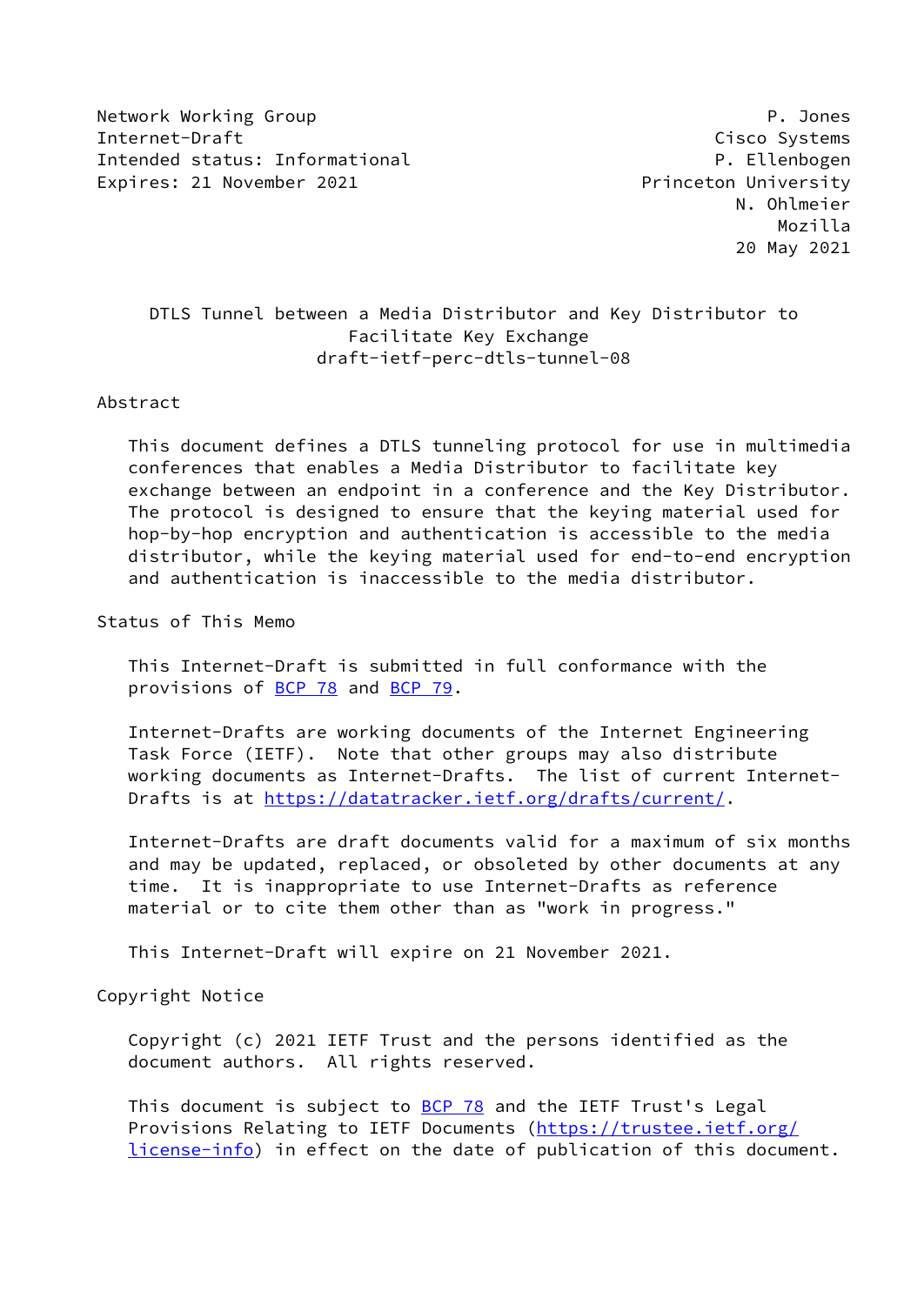Network Working Group **P. Jones** P. Jones Internet-Draft Cisco Systems Intended status: Informational example and the property p. Ellenbogen Expires: 21 November 2021 **Expires: 21 November 2021** 

 N. Ohlmeier Mozilla 20 May 2021

# DTLS Tunnel between a Media Distributor and Key Distributor to Facilitate Key Exchange draft-ietf-perc-dtls-tunnel-08

#### Abstract

 This document defines a DTLS tunneling protocol for use in multimedia conferences that enables a Media Distributor to facilitate key exchange between an endpoint in a conference and the Key Distributor. The protocol is designed to ensure that the keying material used for hop-by-hop encryption and authentication is accessible to the media distributor, while the keying material used for end-to-end encryption and authentication is inaccessible to the media distributor.

Status of This Memo

 This Internet-Draft is submitted in full conformance with the provisions of [BCP 78](https://datatracker.ietf.org/doc/pdf/bcp78) and [BCP 79](https://datatracker.ietf.org/doc/pdf/bcp79).

 Internet-Drafts are working documents of the Internet Engineering Task Force (IETF). Note that other groups may also distribute working documents as Internet-Drafts. The list of current Internet- Drafts is at<https://datatracker.ietf.org/drafts/current/>.

 Internet-Drafts are draft documents valid for a maximum of six months and may be updated, replaced, or obsoleted by other documents at any time. It is inappropriate to use Internet-Drafts as reference material or to cite them other than as "work in progress."

This Internet-Draft will expire on 21 November 2021.

Copyright Notice

 Copyright (c) 2021 IETF Trust and the persons identified as the document authors. All rights reserved.

This document is subject to **[BCP 78](https://datatracker.ietf.org/doc/pdf/bcp78)** and the IETF Trust's Legal Provisions Relating to IETF Documents ([https://trustee.ietf.org/](https://trustee.ietf.org/license-info) [license-info](https://trustee.ietf.org/license-info)) in effect on the date of publication of this document.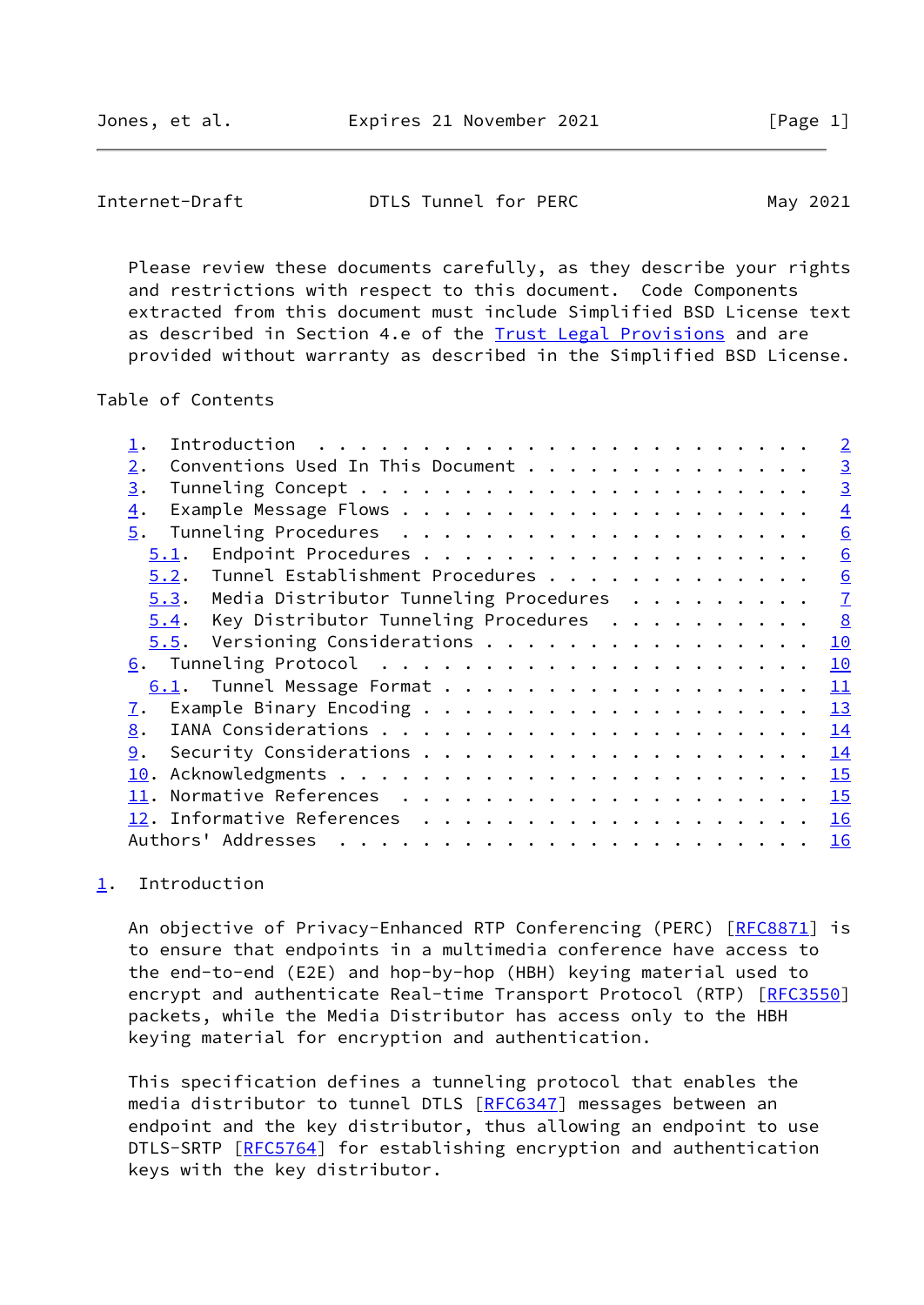## <span id="page-1-1"></span>Internet-Draft **DTLS Tunnel for PERC** May 2021

 Please review these documents carefully, as they describe your rights and restrictions with respect to this document. Code Components extracted from this document must include Simplified BSD License text as described in Section 4.e of the [Trust Legal Provisions](https://trustee.ietf.org/license-info) and are provided without warranty as described in the Simplified BSD License.

## Table of Contents

|                                                | $\overline{2}$ |
|------------------------------------------------|----------------|
| Conventions Used In This Document<br>2.        | $\overline{3}$ |
| 3.                                             | $\overline{3}$ |
| 4.                                             | $\overline{4}$ |
| 5.                                             | 6              |
| 5.1.                                           | 6              |
| 5.2. Tunnel Establishment Procedures           | 6              |
| Media Distributor Tunneling Procedures<br>5.3. | $\overline{1}$ |
| Key Distributor Tunneling Procedures<br>5.4.   | 8              |
| Versioning Considerations<br>5.5.              | 10             |
|                                                | 10             |
| 6.1. Tunnel Message Format                     | 11             |
| $\overline{1}$ .                               | <b>13</b>      |
| 8.                                             | 14             |
| 9.                                             | 14             |
|                                                | 15             |
|                                                | 15             |
|                                                | 16             |
| Authors' Addresses                             | 16             |
|                                                |                |

# <span id="page-1-0"></span>[1](#page-1-0). Introduction

An objective of Privacy-Enhanced RTP Conferencing (PERC) [\[RFC8871](https://datatracker.ietf.org/doc/pdf/rfc8871)] is to ensure that endpoints in a multimedia conference have access to the end-to-end (E2E) and hop-by-hop (HBH) keying material used to encrypt and authenticate Real-time Transport Protocol (RTP) [\[RFC3550](https://datatracker.ietf.org/doc/pdf/rfc3550)] packets, while the Media Distributor has access only to the HBH keying material for encryption and authentication.

 This specification defines a tunneling protocol that enables the media distributor to tunnel DTLS [\[RFC6347](https://datatracker.ietf.org/doc/pdf/rfc6347)] messages between an endpoint and the key distributor, thus allowing an endpoint to use DTLS-SRTP [[RFC5764](https://datatracker.ietf.org/doc/pdf/rfc5764)] for establishing encryption and authentication keys with the key distributor.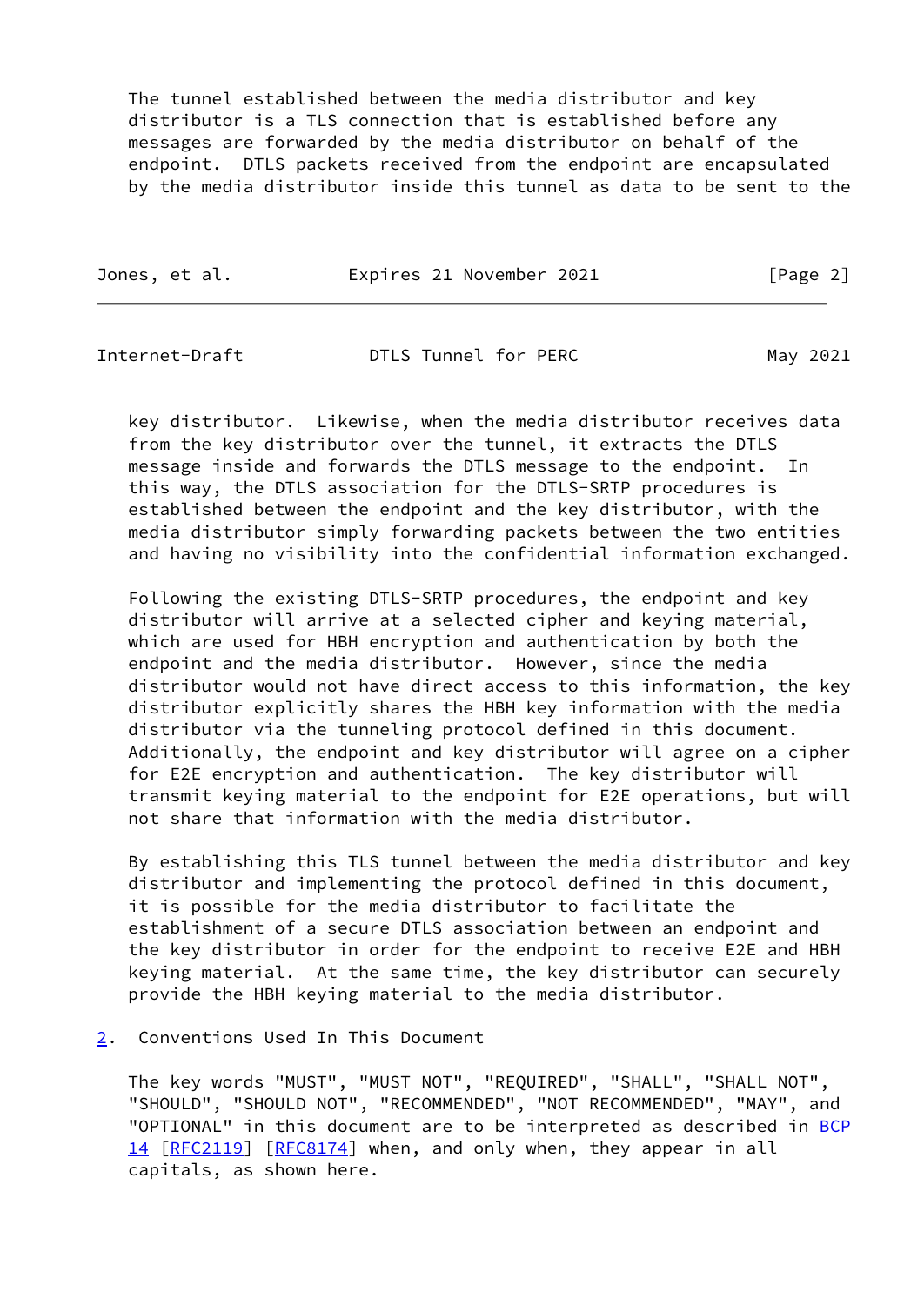The tunnel established between the media distributor and key distributor is a TLS connection that is established before any messages are forwarded by the media distributor on behalf of the endpoint. DTLS packets received from the endpoint are encapsulated by the media distributor inside this tunnel as data to be sent to the

| Expires 21 November 2021<br>Jones, et al. | [Page 2] |
|-------------------------------------------|----------|
|-------------------------------------------|----------|

<span id="page-2-1"></span>Internet-Draft **DTLS Tunnel for PERC** May 2021

 key distributor. Likewise, when the media distributor receives data from the key distributor over the tunnel, it extracts the DTLS message inside and forwards the DTLS message to the endpoint. In this way, the DTLS association for the DTLS-SRTP procedures is established between the endpoint and the key distributor, with the media distributor simply forwarding packets between the two entities and having no visibility into the confidential information exchanged.

 Following the existing DTLS-SRTP procedures, the endpoint and key distributor will arrive at a selected cipher and keying material, which are used for HBH encryption and authentication by both the endpoint and the media distributor. However, since the media distributor would not have direct access to this information, the key distributor explicitly shares the HBH key information with the media distributor via the tunneling protocol defined in this document. Additionally, the endpoint and key distributor will agree on a cipher for E2E encryption and authentication. The key distributor will transmit keying material to the endpoint for E2E operations, but will not share that information with the media distributor.

 By establishing this TLS tunnel between the media distributor and key distributor and implementing the protocol defined in this document, it is possible for the media distributor to facilitate the establishment of a secure DTLS association between an endpoint and the key distributor in order for the endpoint to receive E2E and HBH keying material. At the same time, the key distributor can securely provide the HBH keying material to the media distributor.

<span id="page-2-0"></span>[2](#page-2-0). Conventions Used In This Document

 The key words "MUST", "MUST NOT", "REQUIRED", "SHALL", "SHALL NOT", "SHOULD", "SHOULD NOT", "RECOMMENDED", "NOT RECOMMENDED", "MAY", and "OPTIONAL" in this document are to be interpreted as described in [BCP](https://datatracker.ietf.org/doc/pdf/bcp14) [14](https://datatracker.ietf.org/doc/pdf/bcp14) [[RFC2119\]](https://datatracker.ietf.org/doc/pdf/rfc2119) [\[RFC8174](https://datatracker.ietf.org/doc/pdf/rfc8174)] when, and only when, they appear in all capitals, as shown here.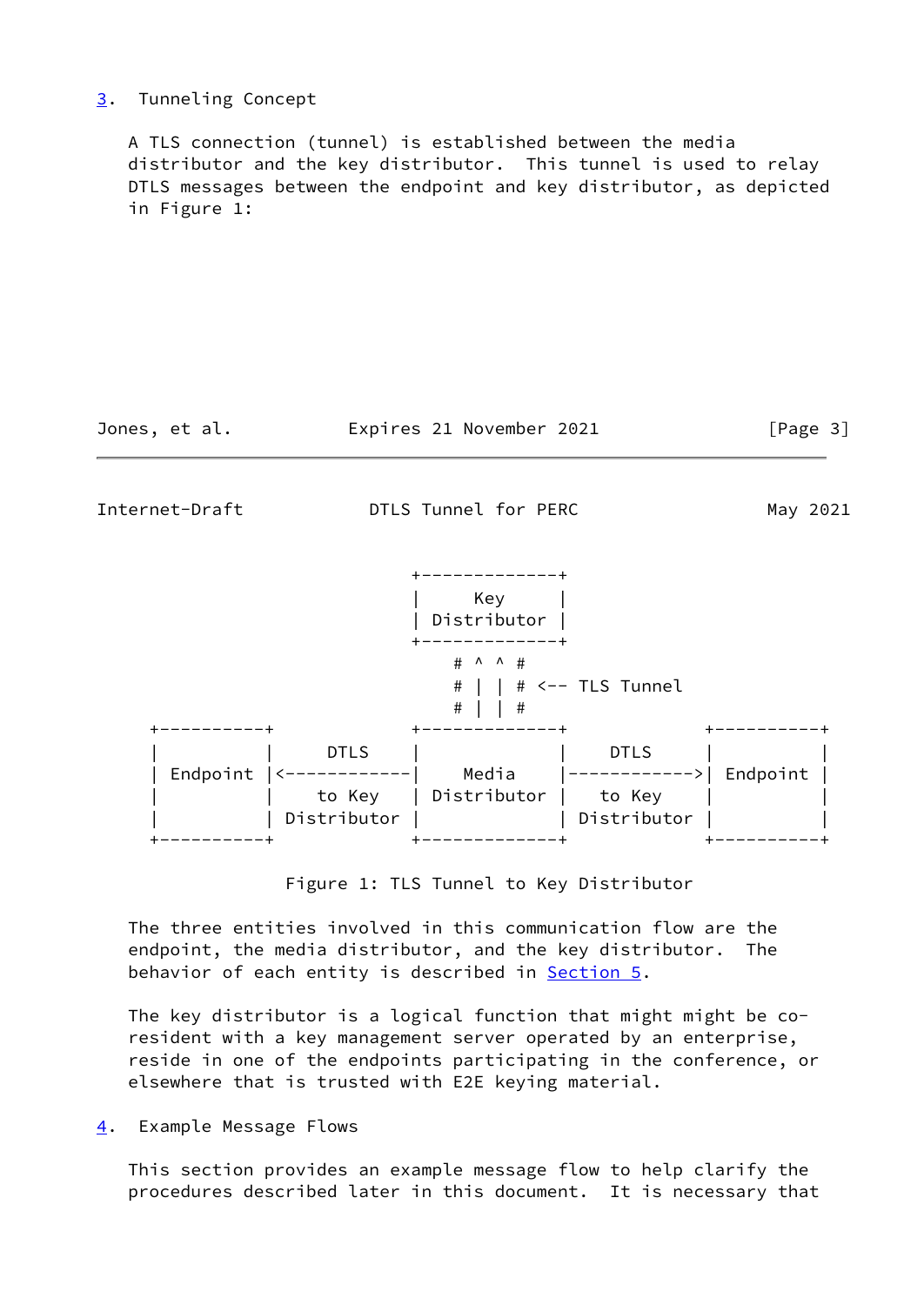## <span id="page-3-0"></span>[3](#page-3-0). Tunneling Concept

 A TLS connection (tunnel) is established between the media distributor and the key distributor. This tunnel is used to relay DTLS messages between the endpoint and key distributor, as depicted in Figure 1:

Jones, et al. Expires 21 November 2021 [Page 3]

<span id="page-3-2"></span>Internet-Draft DTLS Tunnel for PERC May 2021

|          |             | Key<br>Distributor        |                               |          |
|----------|-------------|---------------------------|-------------------------------|----------|
|          |             | # ^ ^ #<br>#<br>$\#$<br># | $ $ # $\leftarrow$ TLS Tunnel |          |
|          |             |                           |                               |          |
|          | <b>DTLS</b> |                           | <b>DTLS</b>                   |          |
| Endpoint |             | Media                     |                               | Endpoint |
|          | to Key      | Distributor               | to Key                        |          |
|          | Distributor |                           | Distributor                   |          |
|          |             |                           |                               |          |

Figure 1: TLS Tunnel to Key Distributor

 The three entities involved in this communication flow are the endpoint, the media distributor, and the key distributor. The behavior of each entity is described in **Section 5.** 

 The key distributor is a logical function that might might be co resident with a key management server operated by an enterprise, reside in one of the endpoints participating in the conference, or elsewhere that is trusted with E2E keying material.

<span id="page-3-1"></span>[4](#page-3-1). Example Message Flows

 This section provides an example message flow to help clarify the procedures described later in this document. It is necessary that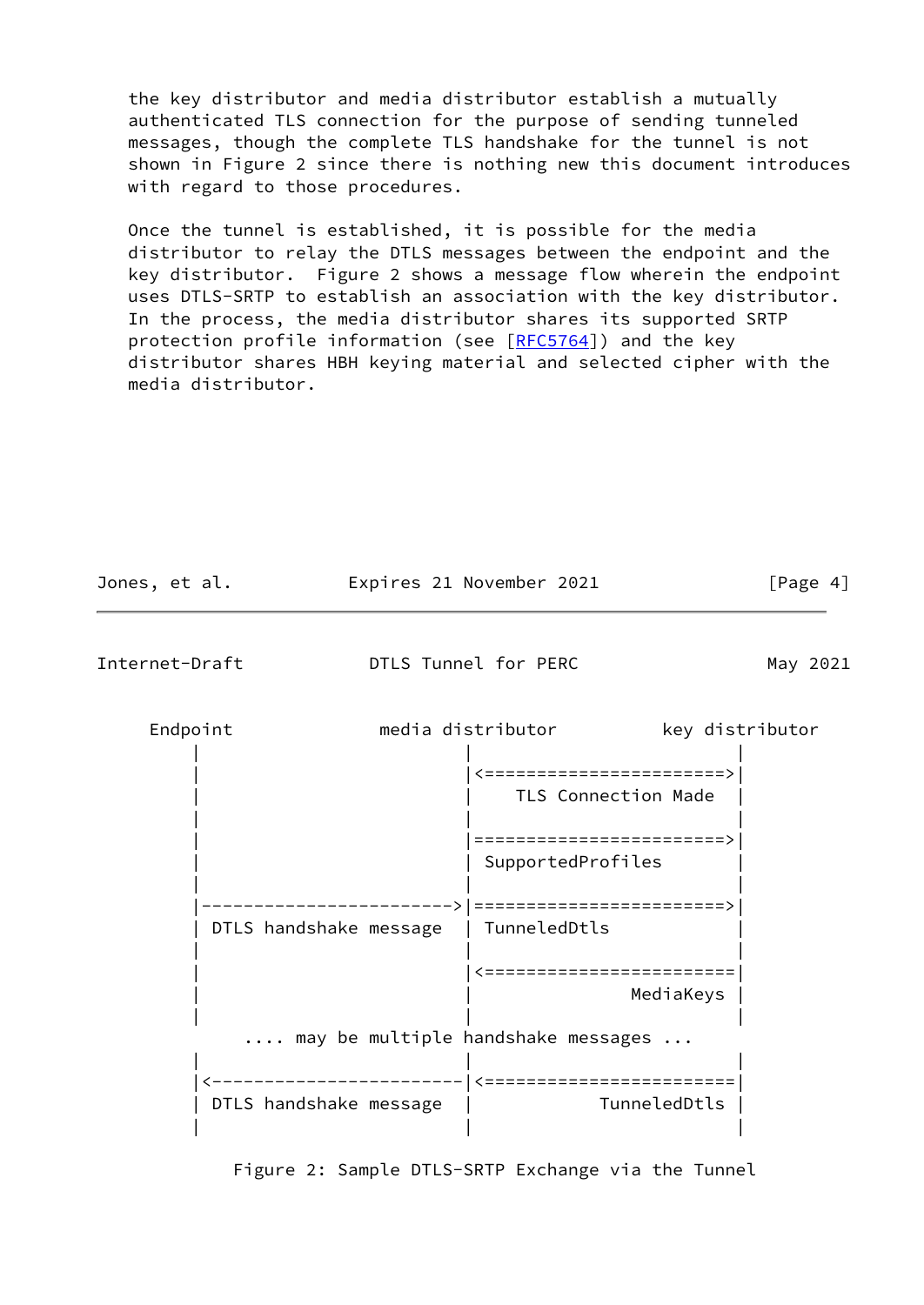the key distributor and media distributor establish a mutually authenticated TLS connection for the purpose of sending tunneled messages, though the complete TLS handshake for the tunnel is not shown in Figure 2 since there is nothing new this document introduces with regard to those procedures.

 Once the tunnel is established, it is possible for the media distributor to relay the DTLS messages between the endpoint and the key distributor. Figure 2 shows a message flow wherein the endpoint uses DTLS-SRTP to establish an association with the key distributor. In the process, the media distributor shares its supported SRTP protection profile information (see [\[RFC5764](https://datatracker.ietf.org/doc/pdf/rfc5764)]) and the key distributor shares HBH keying material and selected cipher with the media distributor.

| Jones, et al. |                        |  | Expires 21 November 2021                         |                 | [Page 4] |
|---------------|------------------------|--|--------------------------------------------------|-----------------|----------|
|               | Internet-Draft         |  | DTLS Tunnel for PERC                             |                 | May 2021 |
|               | Endpoint               |  | media distributor                                | key distributor |          |
|               |                        |  | <=======================><br>TLS Connection Made |                 |          |
|               |                        |  | ========================><br>SupportedProfiles   |                 |          |
|               | DTLS handshake message |  | =========================><br>TunneledDtls       |                 |          |
|               |                        |  | ========================                         | MediaKeys       |          |
|               |                        |  | may be multiple handshake messages               |                 |          |
|               | DTLS handshake message |  |                                                  | TunneledDtls    |          |

Figure 2: Sample DTLS-SRTP Exchange via the Tunnel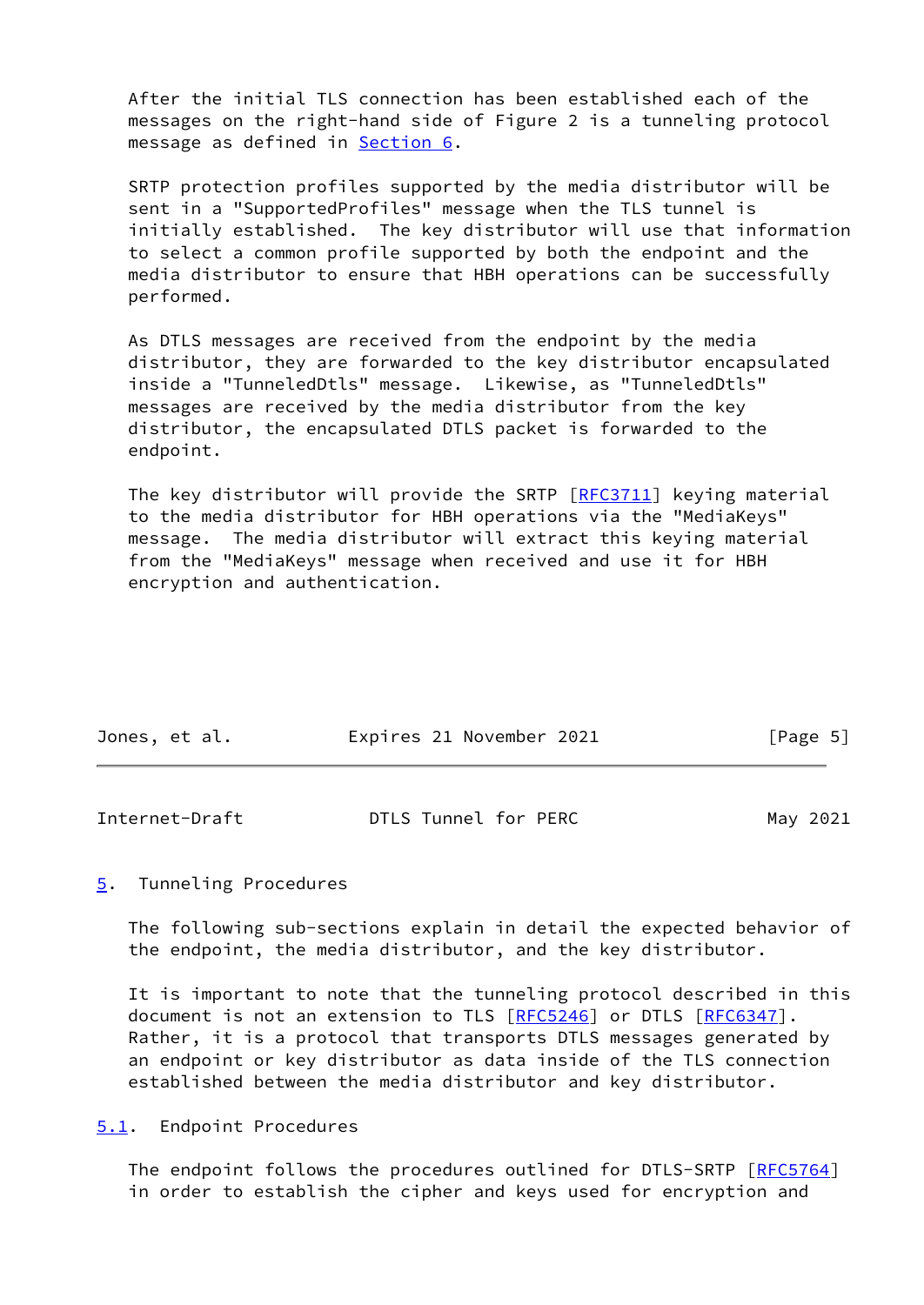After the initial TLS connection has been established each of the messages on the right-hand side of Figure 2 is a tunneling protocol message as defined in [Section 6.](#page-10-2)

 SRTP protection profiles supported by the media distributor will be sent in a "SupportedProfiles" message when the TLS tunnel is initially established. The key distributor will use that information to select a common profile supported by both the endpoint and the media distributor to ensure that HBH operations can be successfully performed.

 As DTLS messages are received from the endpoint by the media distributor, they are forwarded to the key distributor encapsulated inside a "TunneledDtls" message. Likewise, as "TunneledDtls" messages are received by the media distributor from the key distributor, the encapsulated DTLS packet is forwarded to the endpoint.

 The key distributor will provide the SRTP [[RFC3711](https://datatracker.ietf.org/doc/pdf/rfc3711)] keying material to the media distributor for HBH operations via the "MediaKeys" message. The media distributor will extract this keying material from the "MediaKeys" message when received and use it for HBH encryption and authentication.

|  | Jones, et al. | Expires 21 November 2021 | [Page 5] |
|--|---------------|--------------------------|----------|
|--|---------------|--------------------------|----------|

<span id="page-5-1"></span>

| Internet-Draft | DTLS Tunnel for PERC | May 2021 |
|----------------|----------------------|----------|
|                |                      |          |

## <span id="page-5-0"></span>[5](#page-5-0). Tunneling Procedures

 The following sub-sections explain in detail the expected behavior of the endpoint, the media distributor, and the key distributor.

 It is important to note that the tunneling protocol described in this document is not an extension to TLS [\[RFC5246](https://datatracker.ietf.org/doc/pdf/rfc5246)] or DTLS [[RFC6347](https://datatracker.ietf.org/doc/pdf/rfc6347)]. Rather, it is a protocol that transports DTLS messages generated by an endpoint or key distributor as data inside of the TLS connection established between the media distributor and key distributor.

<span id="page-5-2"></span>[5.1](#page-5-2). Endpoint Procedures

 The endpoint follows the procedures outlined for DTLS-SRTP [[RFC5764\]](https://datatracker.ietf.org/doc/pdf/rfc5764) in order to establish the cipher and keys used for encryption and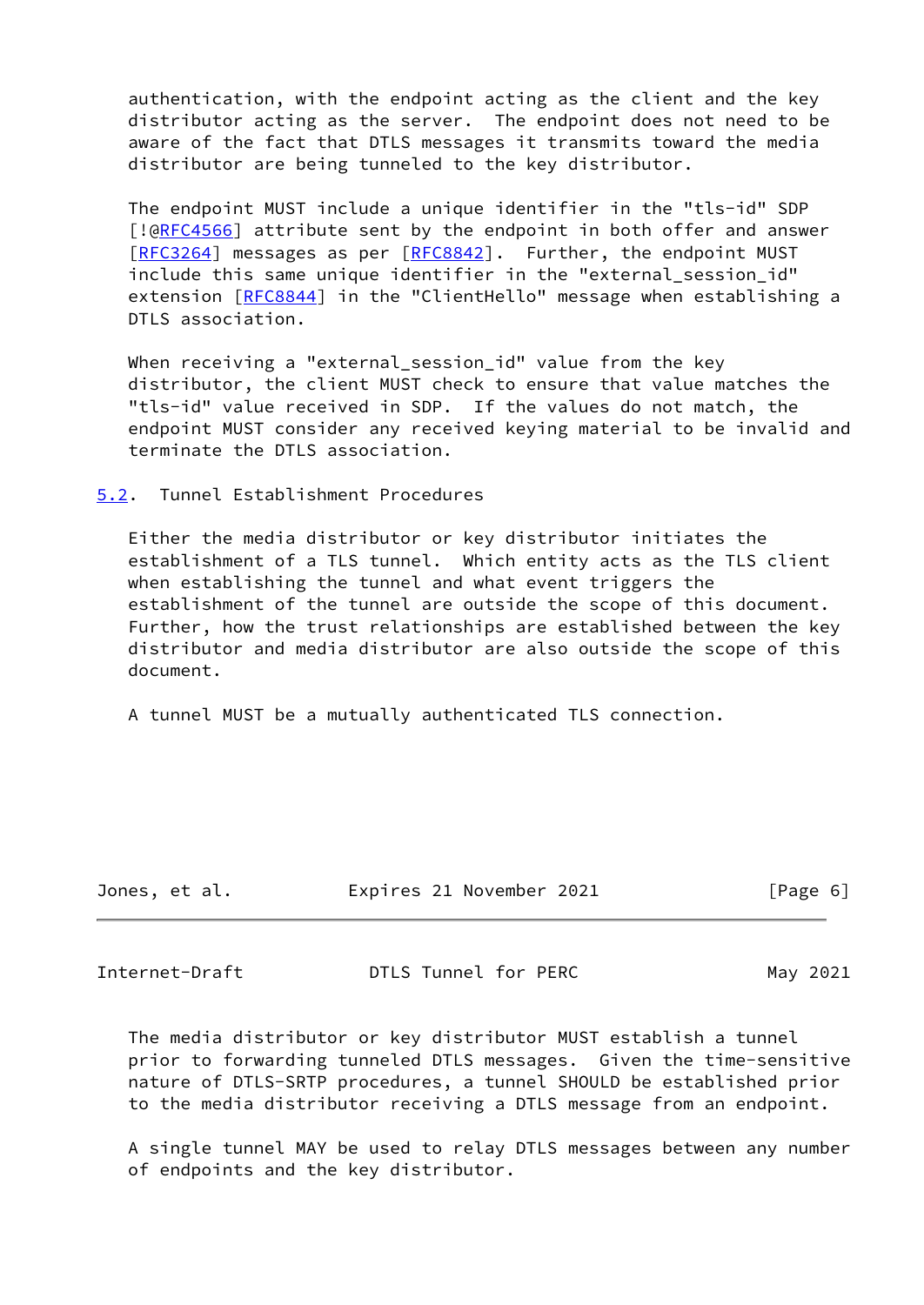authentication, with the endpoint acting as the client and the key distributor acting as the server. The endpoint does not need to be aware of the fact that DTLS messages it transmits toward the media distributor are being tunneled to the key distributor.

 The endpoint MUST include a unique identifier in the "tls-id" SDP [!@[RFC4566](https://datatracker.ietf.org/doc/pdf/rfc4566)] attribute sent by the endpoint in both offer and answer [\[RFC3264](https://datatracker.ietf.org/doc/pdf/rfc3264)] messages as per [[RFC8842](https://datatracker.ietf.org/doc/pdf/rfc8842)]. Further, the endpoint MUST include this same unique identifier in the "external\_session\_id" extension [[RFC8844](https://datatracker.ietf.org/doc/pdf/rfc8844)] in the "ClientHello" message when establishing a DTLS association.

 When receiving a "external\_session\_id" value from the key distributor, the client MUST check to ensure that value matches the "tls-id" value received in SDP. If the values do not match, the endpoint MUST consider any received keying material to be invalid and terminate the DTLS association.

<span id="page-6-0"></span>[5.2](#page-6-0). Tunnel Establishment Procedures

 Either the media distributor or key distributor initiates the establishment of a TLS tunnel. Which entity acts as the TLS client when establishing the tunnel and what event triggers the establishment of the tunnel are outside the scope of this document. Further, how the trust relationships are established between the key distributor and media distributor are also outside the scope of this document.

A tunnel MUST be a mutually authenticated TLS connection.

| Jones, et al. | Expires 21 November 2021 | [Page 6] |
|---------------|--------------------------|----------|

<span id="page-6-1"></span>Internet-Draft **DTLS Tunnel for PERC** May 2021

 The media distributor or key distributor MUST establish a tunnel prior to forwarding tunneled DTLS messages. Given the time-sensitive nature of DTLS-SRTP procedures, a tunnel SHOULD be established prior to the media distributor receiving a DTLS message from an endpoint.

 A single tunnel MAY be used to relay DTLS messages between any number of endpoints and the key distributor.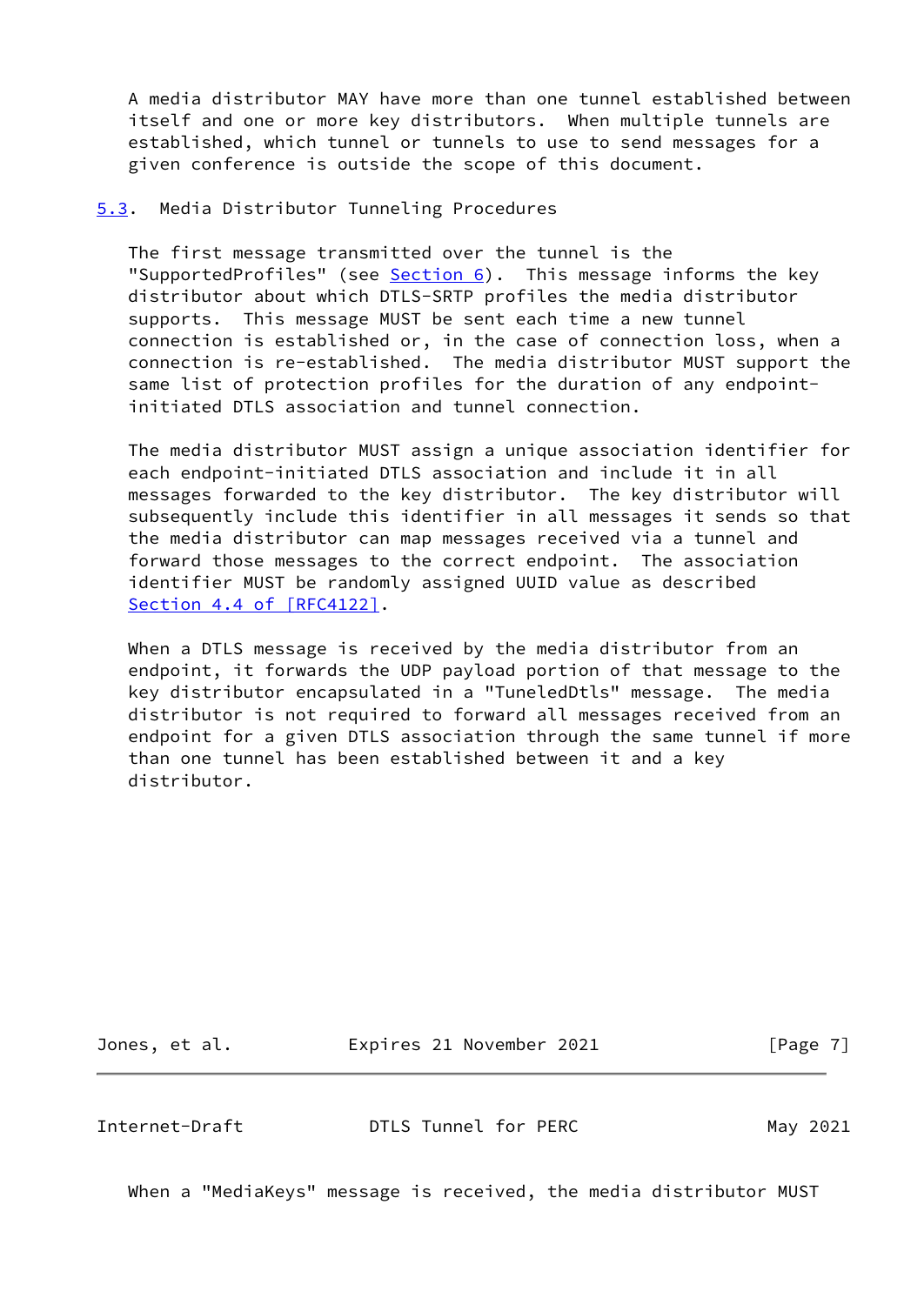A media distributor MAY have more than one tunnel established between itself and one or more key distributors. When multiple tunnels are established, which tunnel or tunnels to use to send messages for a given conference is outside the scope of this document.

<span id="page-7-0"></span>[5.3](#page-7-0). Media Distributor Tunneling Procedures

 The first message transmitted over the tunnel is the "SupportedProfiles" (see [Section 6](#page-10-2)). This message informs the key distributor about which DTLS-SRTP profiles the media distributor supports. This message MUST be sent each time a new tunnel connection is established or, in the case of connection loss, when a connection is re-established. The media distributor MUST support the same list of protection profiles for the duration of any endpoint initiated DTLS association and tunnel connection.

 The media distributor MUST assign a unique association identifier for each endpoint-initiated DTLS association and include it in all messages forwarded to the key distributor. The key distributor will subsequently include this identifier in all messages it sends so that the media distributor can map messages received via a tunnel and forward those messages to the correct endpoint. The association identifier MUST be randomly assigned UUID value as described Section [4.4 of \[RFC4122\]](https://datatracker.ietf.org/doc/pdf/rfc4122#section-4.4).

When a DTLS message is received by the media distributor from an endpoint, it forwards the UDP payload portion of that message to the key distributor encapsulated in a "TuneledDtls" message. The media distributor is not required to forward all messages received from an endpoint for a given DTLS association through the same tunnel if more than one tunnel has been established between it and a key distributor.

Jones, et al. **Expires 21 November 2021** [Page 7]

<span id="page-7-1"></span>Internet-Draft **DTLS Tunnel for PERC** May 2021

When a "MediaKeys" message is received, the media distributor MUST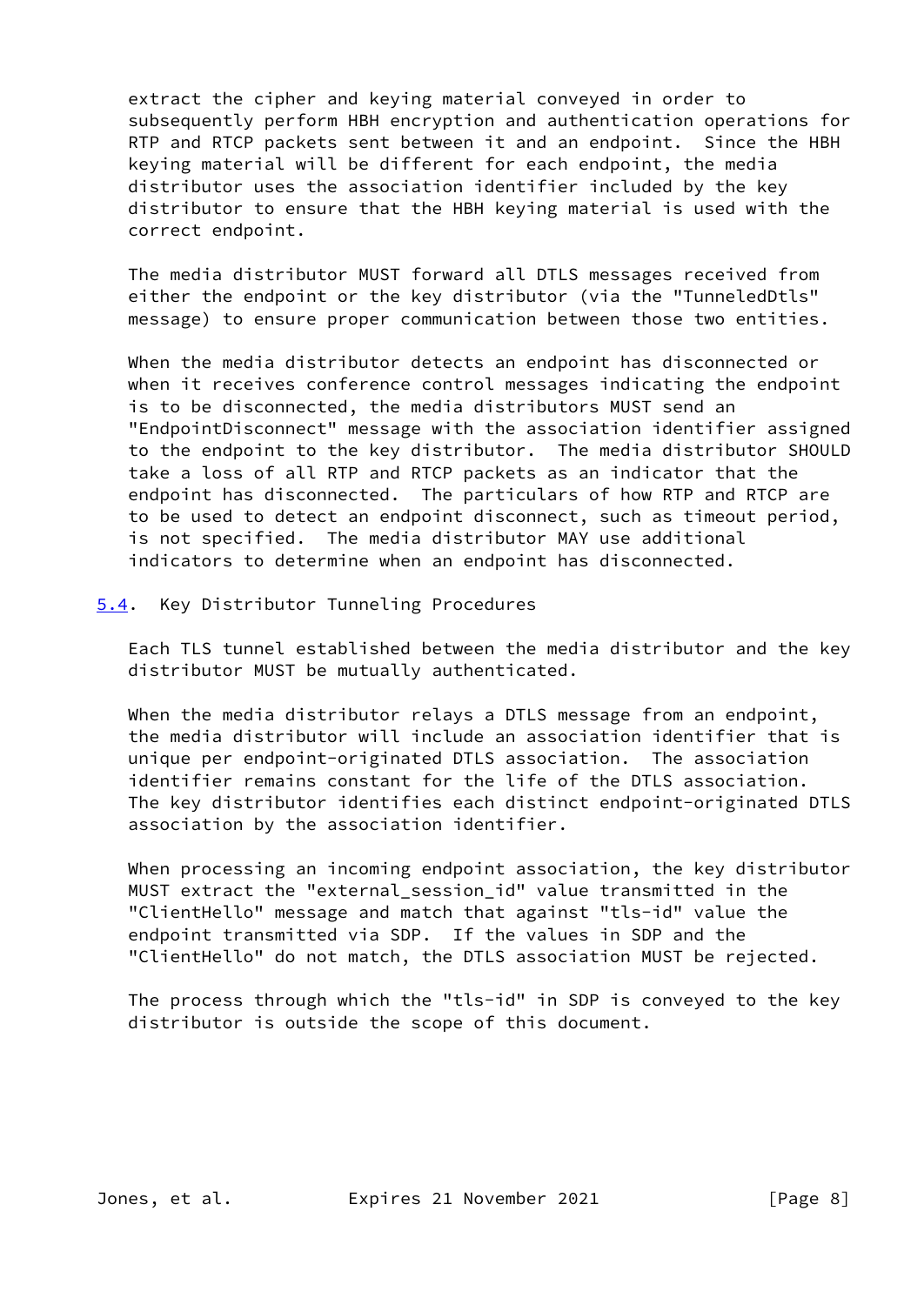extract the cipher and keying material conveyed in order to subsequently perform HBH encryption and authentication operations for RTP and RTCP packets sent between it and an endpoint. Since the HBH keying material will be different for each endpoint, the media distributor uses the association identifier included by the key distributor to ensure that the HBH keying material is used with the correct endpoint.

 The media distributor MUST forward all DTLS messages received from either the endpoint or the key distributor (via the "TunneledDtls" message) to ensure proper communication between those two entities.

 When the media distributor detects an endpoint has disconnected or when it receives conference control messages indicating the endpoint is to be disconnected, the media distributors MUST send an "EndpointDisconnect" message with the association identifier assigned to the endpoint to the key distributor. The media distributor SHOULD take a loss of all RTP and RTCP packets as an indicator that the endpoint has disconnected. The particulars of how RTP and RTCP are to be used to detect an endpoint disconnect, such as timeout period, is not specified. The media distributor MAY use additional indicators to determine when an endpoint has disconnected.

#### <span id="page-8-0"></span>[5.4](#page-8-0). Key Distributor Tunneling Procedures

 Each TLS tunnel established between the media distributor and the key distributor MUST be mutually authenticated.

 When the media distributor relays a DTLS message from an endpoint, the media distributor will include an association identifier that is unique per endpoint-originated DTLS association. The association identifier remains constant for the life of the DTLS association. The key distributor identifies each distinct endpoint-originated DTLS association by the association identifier.

 When processing an incoming endpoint association, the key distributor MUST extract the "external\_session\_id" value transmitted in the "ClientHello" message and match that against "tls-id" value the endpoint transmitted via SDP. If the values in SDP and the "ClientHello" do not match, the DTLS association MUST be rejected.

 The process through which the "tls-id" in SDP is conveyed to the key distributor is outside the scope of this document.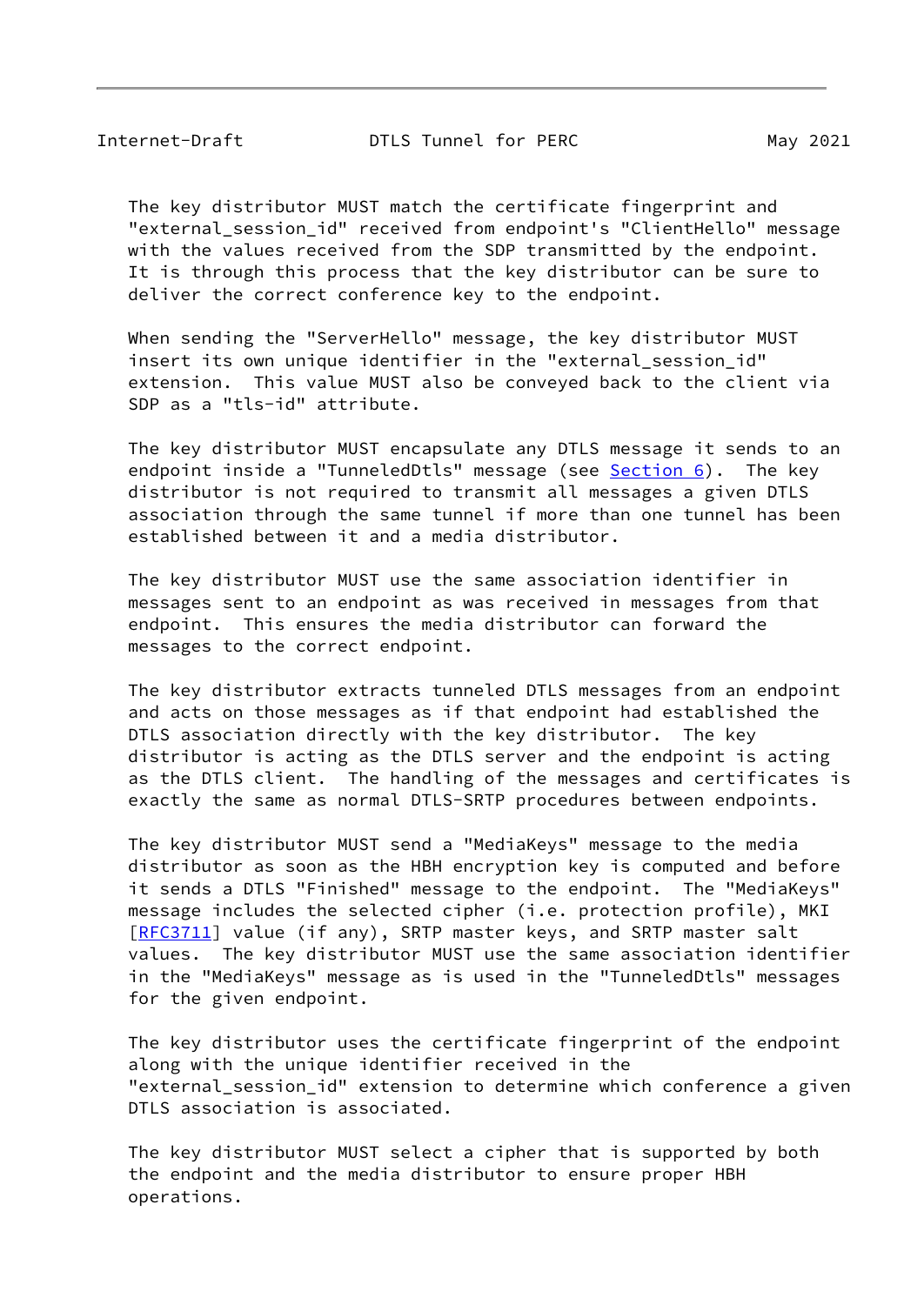Internet-Draft **DTLS Tunnel for PERC** May 2021

 The key distributor MUST match the certificate fingerprint and "external\_session\_id" received from endpoint's "ClientHello" message with the values received from the SDP transmitted by the endpoint. It is through this process that the key distributor can be sure to deliver the correct conference key to the endpoint.

 When sending the "ServerHello" message, the key distributor MUST insert its own unique identifier in the "external session id" extension. This value MUST also be conveyed back to the client via SDP as a "tls-id" attribute.

 The key distributor MUST encapsulate any DTLS message it sends to an endpoint inside a "TunneledDtls" message (see **Section 6**). The key distributor is not required to transmit all messages a given DTLS association through the same tunnel if more than one tunnel has been established between it and a media distributor.

 The key distributor MUST use the same association identifier in messages sent to an endpoint as was received in messages from that endpoint. This ensures the media distributor can forward the messages to the correct endpoint.

 The key distributor extracts tunneled DTLS messages from an endpoint and acts on those messages as if that endpoint had established the DTLS association directly with the key distributor. The key distributor is acting as the DTLS server and the endpoint is acting as the DTLS client. The handling of the messages and certificates is exactly the same as normal DTLS-SRTP procedures between endpoints.

 The key distributor MUST send a "MediaKeys" message to the media distributor as soon as the HBH encryption key is computed and before it sends a DTLS "Finished" message to the endpoint. The "MediaKeys" message includes the selected cipher (i.e. protection profile), MKI [\[RFC3711](https://datatracker.ietf.org/doc/pdf/rfc3711)] value (if any), SRTP master keys, and SRTP master salt values. The key distributor MUST use the same association identifier in the "MediaKeys" message as is used in the "TunneledDtls" messages for the given endpoint.

 The key distributor uses the certificate fingerprint of the endpoint along with the unique identifier received in the "external session id" extension to determine which conference a given DTLS association is associated.

 The key distributor MUST select a cipher that is supported by both the endpoint and the media distributor to ensure proper HBH operations.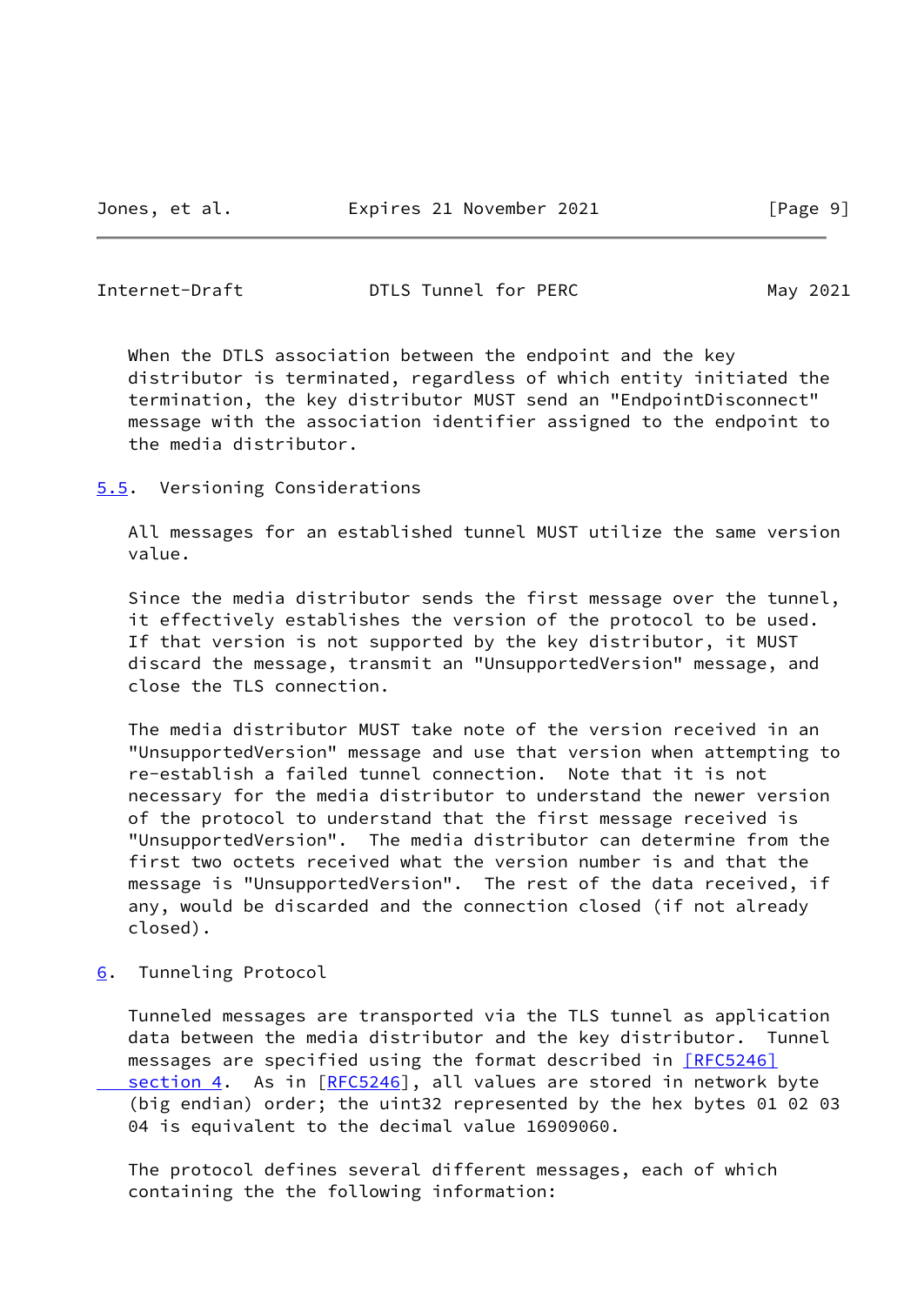#### <span id="page-10-1"></span>Internet-Draft **DTLS Tunnel for PERC** May 2021

 When the DTLS association between the endpoint and the key distributor is terminated, regardless of which entity initiated the termination, the key distributor MUST send an "EndpointDisconnect" message with the association identifier assigned to the endpoint to the media distributor.

<span id="page-10-0"></span>[5.5](#page-10-0). Versioning Considerations

 All messages for an established tunnel MUST utilize the same version value.

 Since the media distributor sends the first message over the tunnel, it effectively establishes the version of the protocol to be used. If that version is not supported by the key distributor, it MUST discard the message, transmit an "UnsupportedVersion" message, and close the TLS connection.

 The media distributor MUST take note of the version received in an "UnsupportedVersion" message and use that version when attempting to re-establish a failed tunnel connection. Note that it is not necessary for the media distributor to understand the newer version of the protocol to understand that the first message received is "UnsupportedVersion". The media distributor can determine from the first two octets received what the version number is and that the message is "UnsupportedVersion". The rest of the data received, if any, would be discarded and the connection closed (if not already closed).

<span id="page-10-2"></span>[6](#page-10-2). Tunneling Protocol

 Tunneled messages are transported via the TLS tunnel as application data between the media distributor and the key distributor. Tunnel messages are specified using the format described in [\[RFC5246\]](https://datatracker.ietf.org/doc/pdf/rfc5246#section-4)  [section](https://datatracker.ietf.org/doc/pdf/rfc5246#section-4) 4. As in [[RFC5246](https://datatracker.ietf.org/doc/pdf/rfc5246)], all values are stored in network byte (big endian) order; the uint32 represented by the hex bytes 01 02 03 04 is equivalent to the decimal value 16909060.

 The protocol defines several different messages, each of which containing the the following information: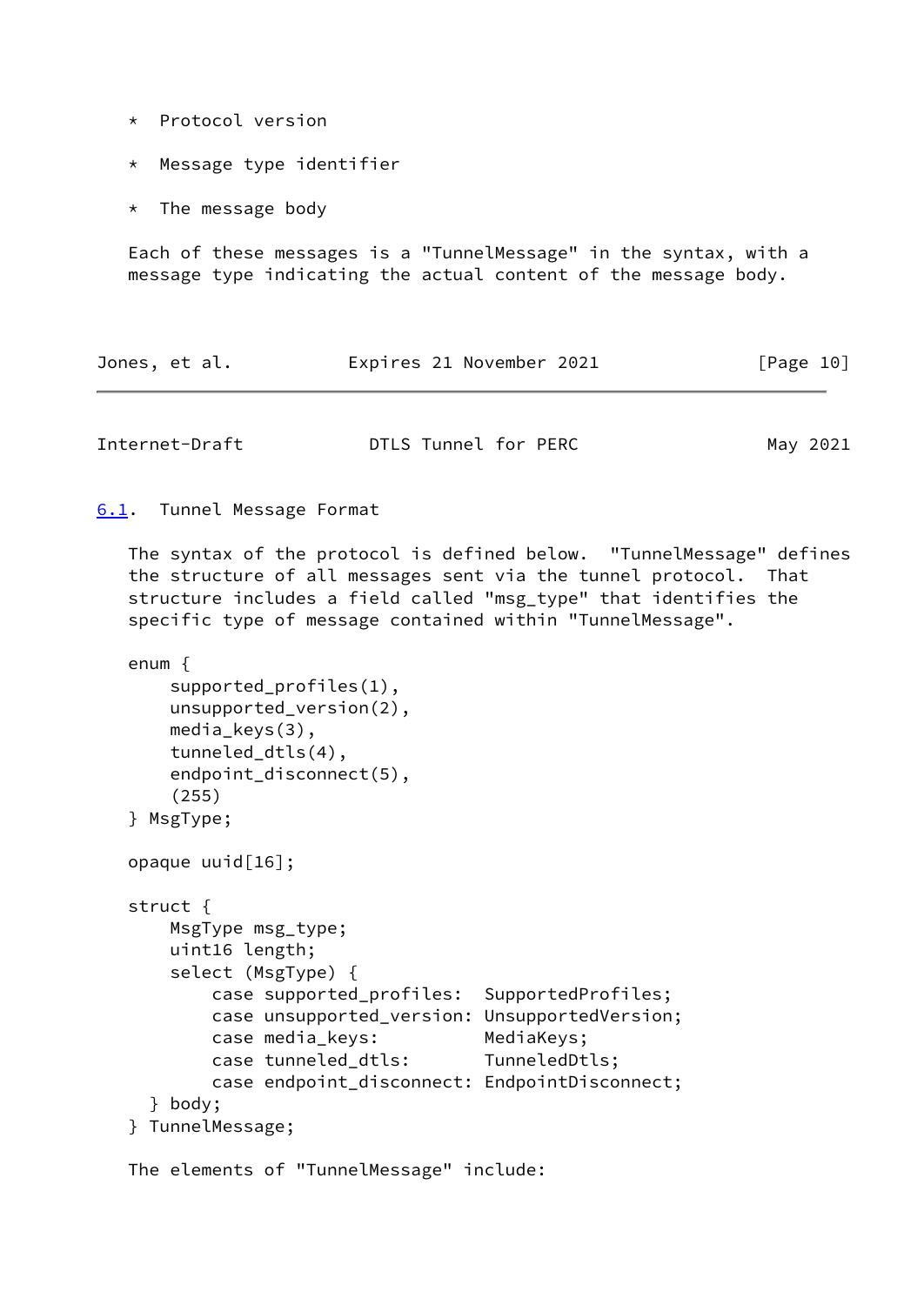- \* Protocol version
- \* Message type identifier
- \* The message body

 Each of these messages is a "TunnelMessage" in the syntax, with a message type indicating the actual content of the message body.

|  | Jones, et al. |  |  | Expires 21 November 2021 |  | [Page 10] |  |
|--|---------------|--|--|--------------------------|--|-----------|--|
|--|---------------|--|--|--------------------------|--|-----------|--|

<span id="page-11-1"></span>

| Internet-Draft | DTLS Tunnel for PERC | May 2021 |
|----------------|----------------------|----------|
|----------------|----------------------|----------|

```
6.1. Tunnel Message Format
```
 The syntax of the protocol is defined below. "TunnelMessage" defines the structure of all messages sent via the tunnel protocol. That structure includes a field called "msg\_type" that identifies the specific type of message contained within "TunnelMessage".

```
 enum {
    supported_profiles(1),
    unsupported_version(2),
   media keys(3),
    tunneled_dtls(4),
    endpoint_disconnect(5),
    (255)
} MsgType;
opaque uuid[16];
struct {
    MsgType msg_type;
    uint16 length;
    select (MsgType) {
        case supported_profiles: SupportedProfiles;
        case unsupported_version: UnsupportedVersion;
        case media_keys: MediaKeys;
        case tunneled_dtls: TunneledDtls;
       case endpoint disconnect: EndpointDisconnect;
  } body;
} TunnelMessage;
```

```
 The elements of "TunnelMessage" include:
```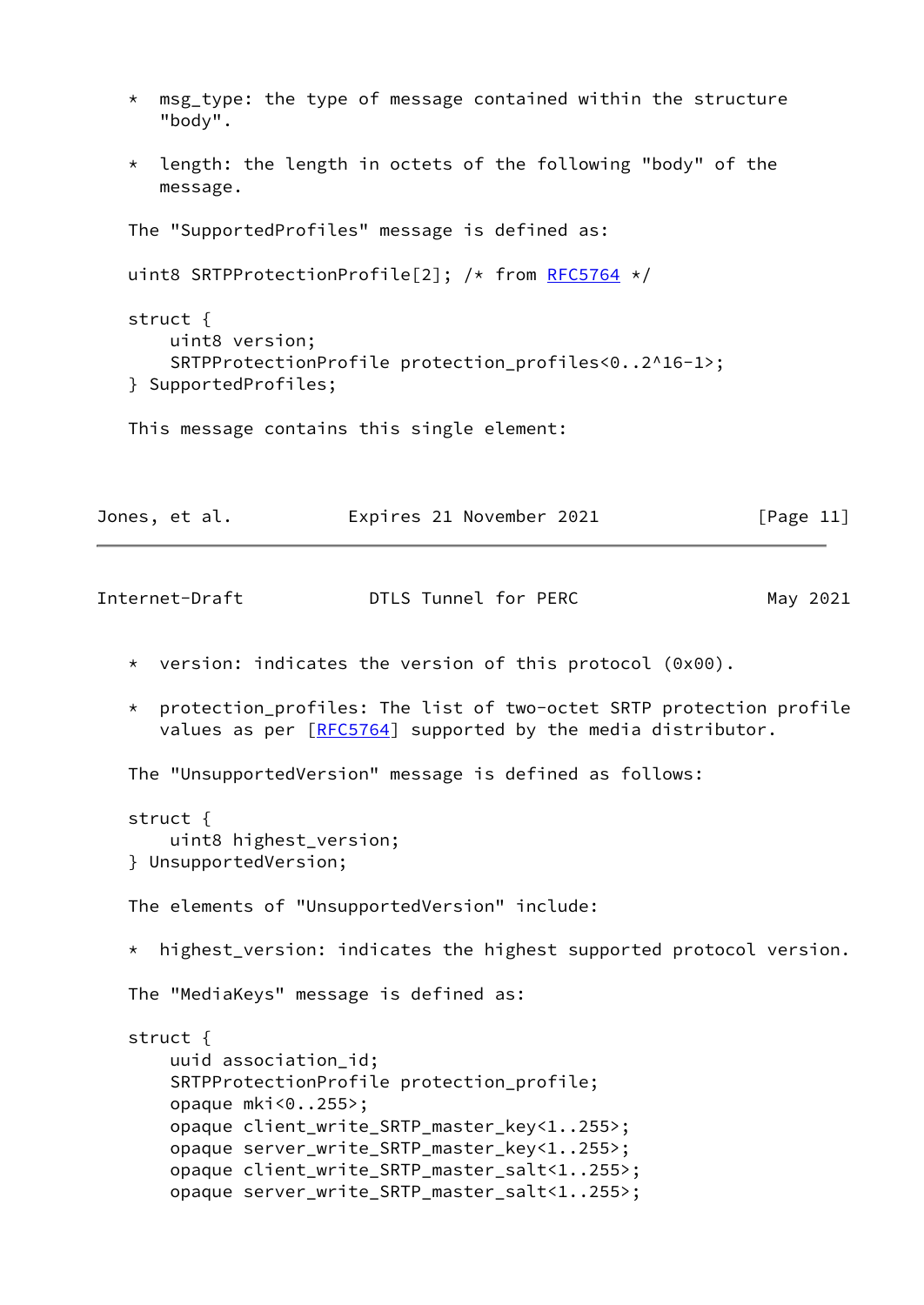- \* msg\_type: the type of message contained within the structure "body".
- \* length: the length in octets of the following "body" of the message.

The "SupportedProfiles" message is defined as:

```
 uint8 SRTPProtectionProfile[2]; /* from RFC5764 */
```

```
 struct {
    uint8 version;
    SRTPProtectionProfile protection_profiles<0..2^16-1>;
} SupportedProfiles;
```
This message contains this single element:

| Jones, et al. |  |  | Expires 21 November 2021 |  | [Page 11] |  |
|---------------|--|--|--------------------------|--|-----------|--|
|---------------|--|--|--------------------------|--|-----------|--|

| Internet-Draft | DTLS Tunnel for PERC<br>________ |  | May 2021 |
|----------------|----------------------------------|--|----------|
|----------------|----------------------------------|--|----------|

- \* version: indicates the version of this protocol (0x00).
- \* protection\_profiles: The list of two-octet SRTP protection profile values as per [\[RFC5764](https://datatracker.ietf.org/doc/pdf/rfc5764)] supported by the media distributor.

The "UnsupportedVersion" message is defined as follows:

```
 struct {
    uint8 highest_version;
} UnsupportedVersion;
```
The elements of "UnsupportedVersion" include:

\* highest\_version: indicates the highest supported protocol version.

The "MediaKeys" message is defined as:

```
 struct {
    uuid association_id;
    SRTPProtectionProfile protection_profile;
    opaque mki<0..255>;
    opaque client_write_SRTP_master_key<1..255>;
    opaque server_write_SRTP_master_key<1..255>;
    opaque client_write_SRTP_master_salt<1..255>;
    opaque server_write_SRTP_master_salt<1..255>;
```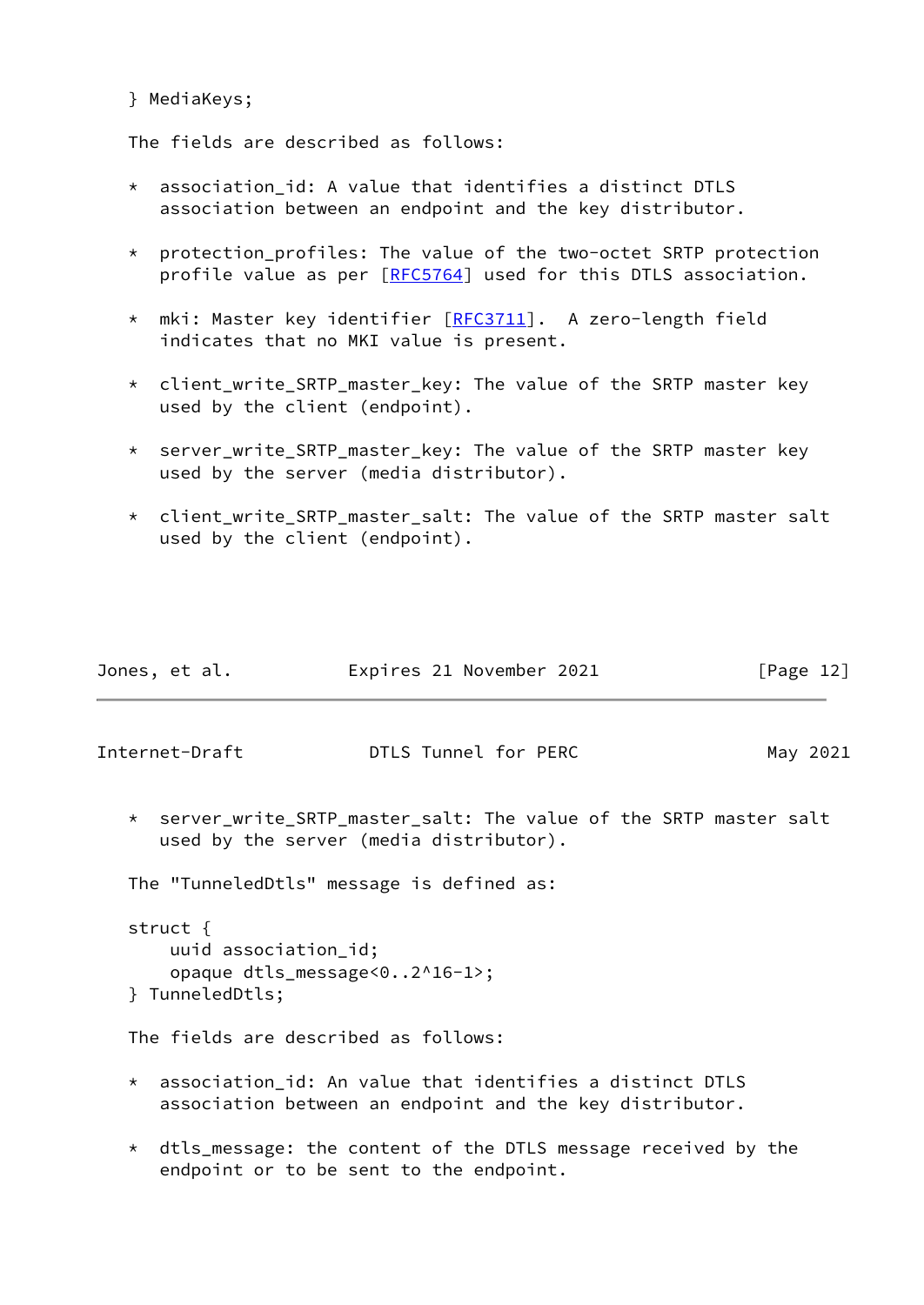#### } MediaKeys;

The fields are described as follows:

- \* association\_id: A value that identifies a distinct DTLS association between an endpoint and the key distributor.
- \* protection\_profiles: The value of the two-octet SRTP protection profile value as per [\[RFC5764](https://datatracker.ietf.org/doc/pdf/rfc5764)] used for this DTLS association.
- \* mki: Master key identifier [[RFC3711](https://datatracker.ietf.org/doc/pdf/rfc3711)]. A zero-length field indicates that no MKI value is present.
- \* client\_write\_SRTP\_master\_key: The value of the SRTP master key used by the client (endpoint).
- \* server\_write\_SRTP\_master\_key: The value of the SRTP master key used by the server (media distributor).
- \* client\_write\_SRTP\_master\_salt: The value of the SRTP master salt used by the client (endpoint).

| Jones, et al. | Expires 21 November 2021 | [Page 12] |
|---------------|--------------------------|-----------|
|               |                          |           |

<span id="page-13-0"></span>Internet-Draft **DTLS Tunnel for PERC** May 2021

 \* server\_write\_SRTP\_master\_salt: The value of the SRTP master salt used by the server (media distributor).

The "TunneledDtls" message is defined as:

```
 struct {
    uuid association_id;
    opaque dtls_message<0..2^16-1>;
} TunneledDtls;
```
The fields are described as follows:

- $*$  association id: An value that identifies a distinct DTLS association between an endpoint and the key distributor.
- \* dtls\_message: the content of the DTLS message received by the endpoint or to be sent to the endpoint.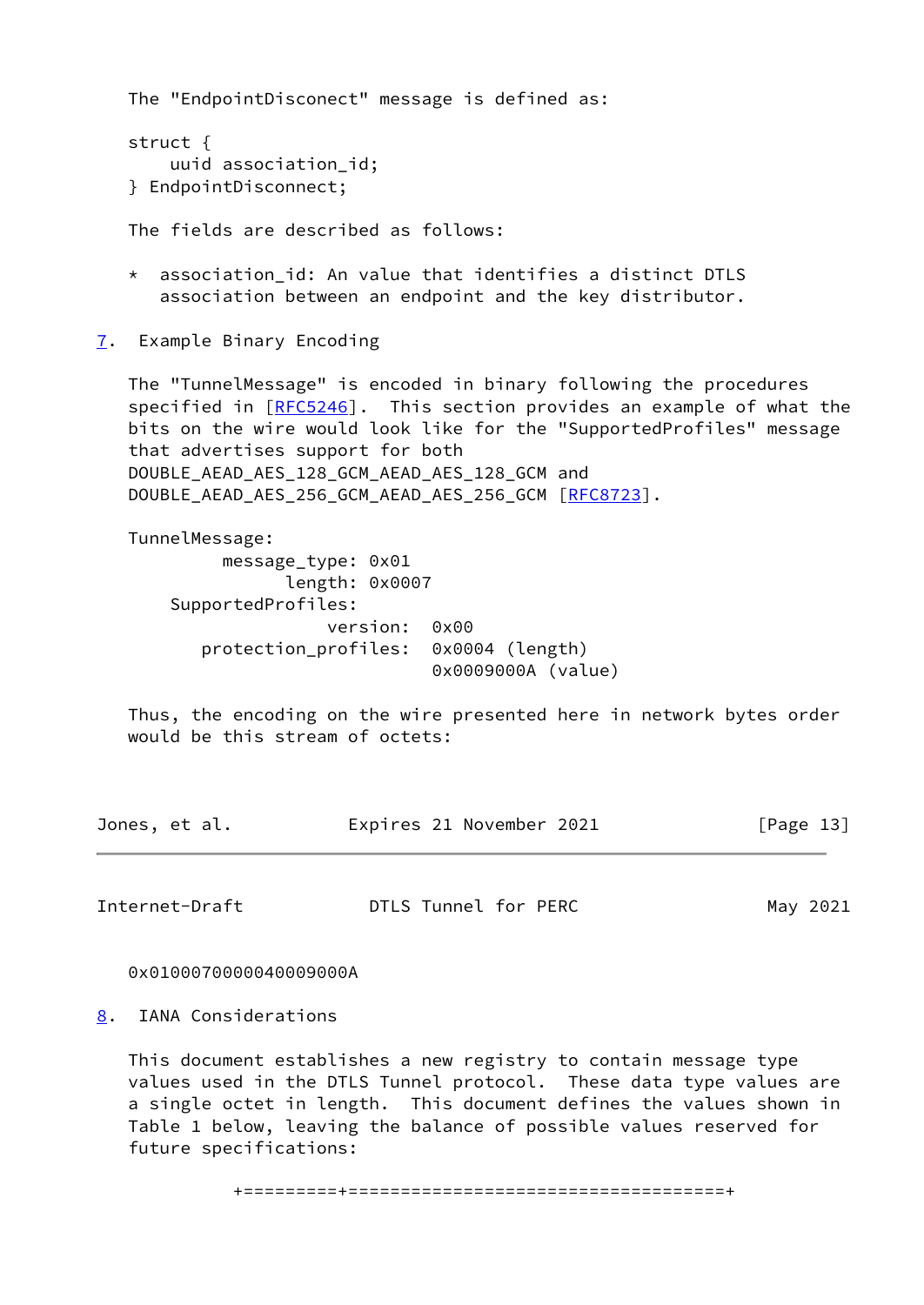The "EndpointDisconect" message is defined as:

```
 struct {
    uuid association_id;
} EndpointDisconnect;
```
The fields are described as follows:

- association id: An value that identifies a distinct DTLS association between an endpoint and the key distributor.
- <span id="page-14-0"></span>[7](#page-14-0). Example Binary Encoding

 The "TunnelMessage" is encoded in binary following the procedures specified in [\[RFC5246](https://datatracker.ietf.org/doc/pdf/rfc5246)]. This section provides an example of what the bits on the wire would look like for the "SupportedProfiles" message that advertises support for both DOUBLE\_AEAD\_AES\_128\_GCM\_AEAD\_AES\_128\_GCM and DOUBLE AEAD AES 256 GCM AEAD AES 256 GCM [\[RFC8723](https://datatracker.ietf.org/doc/pdf/rfc8723)].

 TunnelMessage: message\_type: 0x01 length: 0x0007 SupportedProfiles: version: 0x00 protection\_profiles: 0x0004 (length) 0x0009000A (value)

 Thus, the encoding on the wire presented here in network bytes order would be this stream of octets:

| Jones, et al. | Expires 21 November 2021 | [Page 13] |
|---------------|--------------------------|-----------|
|               |                          |           |

<span id="page-14-2"></span>Internet-Draft **DTLS Tunnel for PERC** May 2021

0x0100070000040009000A

<span id="page-14-1"></span>[8](#page-14-1). IANA Considerations

 This document establishes a new registry to contain message type values used in the DTLS Tunnel protocol. These data type values are a single octet in length. This document defines the values shown in Table 1 below, leaving the balance of possible values reserved for future specifications: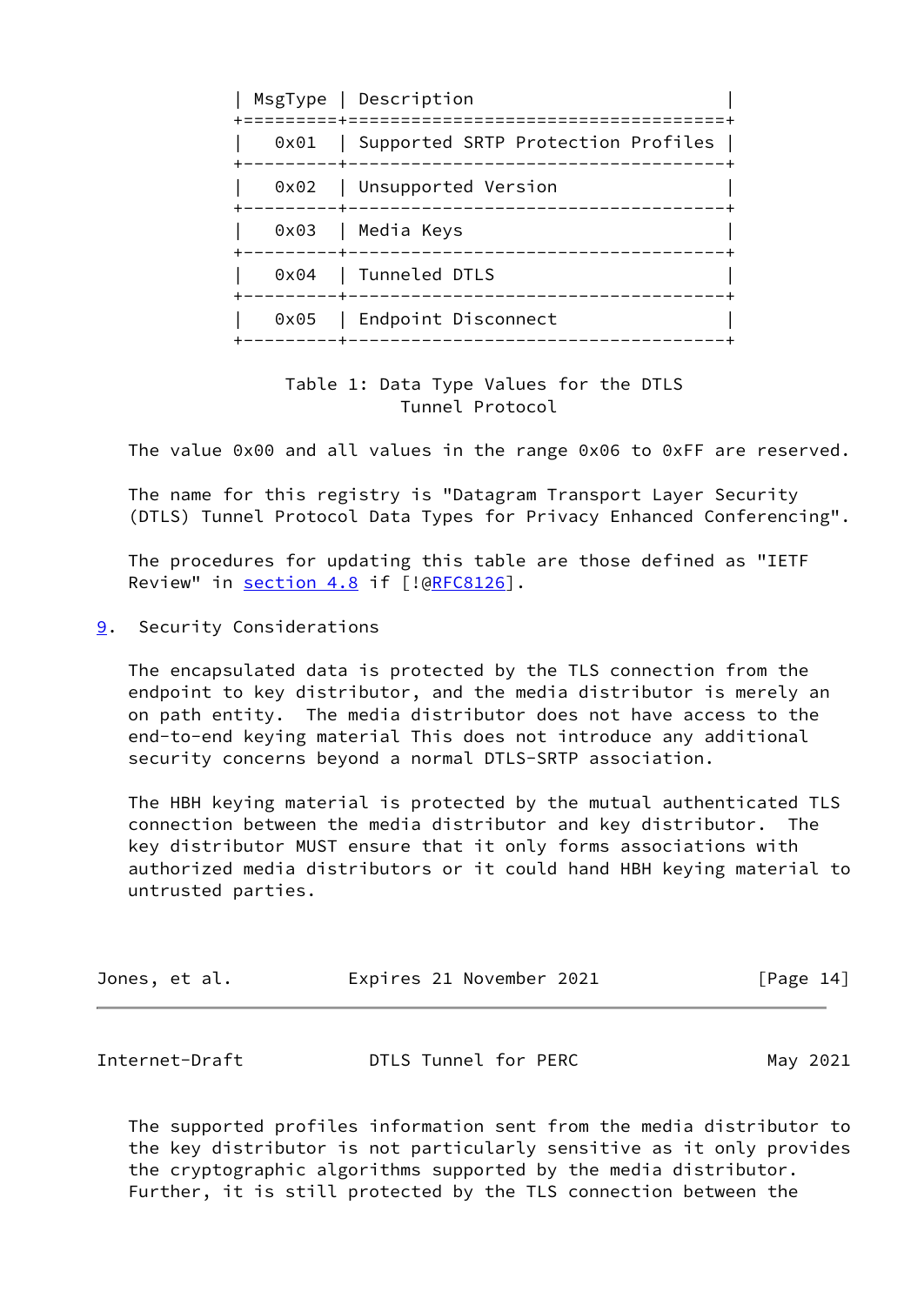|  | MsgType   Description<br>============================                     |
|--|---------------------------------------------------------------------------|
|  | 0x01   Supported SRTP Protection Profiles  <br>-------------------------- |
|  | 0x02   Unsupported Version                                                |
|  | 0x03   Media Keys                                                         |
|  | 0x04   Tunneled DTLS                                                      |
|  | 0x05   Endpoint Disconnect<br>---------------                             |

 Table 1: Data Type Values for the DTLS Tunnel Protocol

The value 0x00 and all values in the range 0x06 to 0xFF are reserved.

 The name for this registry is "Datagram Transport Layer Security (DTLS) Tunnel Protocol Data Types for Privacy Enhanced Conferencing".

 The procedures for updating this table are those defined as "IETF Review" in section 4.8 if [![@RFC8126](https://datatracker.ietf.org/doc/pdf/rfc8126)].

<span id="page-15-0"></span>[9](#page-15-0). Security Considerations

 The encapsulated data is protected by the TLS connection from the endpoint to key distributor, and the media distributor is merely an on path entity. The media distributor does not have access to the end-to-end keying material This does not introduce any additional security concerns beyond a normal DTLS-SRTP association.

 The HBH keying material is protected by the mutual authenticated TLS connection between the media distributor and key distributor. The key distributor MUST ensure that it only forms associations with authorized media distributors or it could hand HBH keying material to untrusted parties.

| Jones, et al. | Expires 21 November 2021 | [Page 14] |  |
|---------------|--------------------------|-----------|--|
|               |                          |           |  |

<span id="page-15-1"></span>

| Internet-Draft | DTLS Tunnel for PERC | May 2021 |
|----------------|----------------------|----------|
|----------------|----------------------|----------|

 The supported profiles information sent from the media distributor to the key distributor is not particularly sensitive as it only provides the cryptographic algorithms supported by the media distributor. Further, it is still protected by the TLS connection between the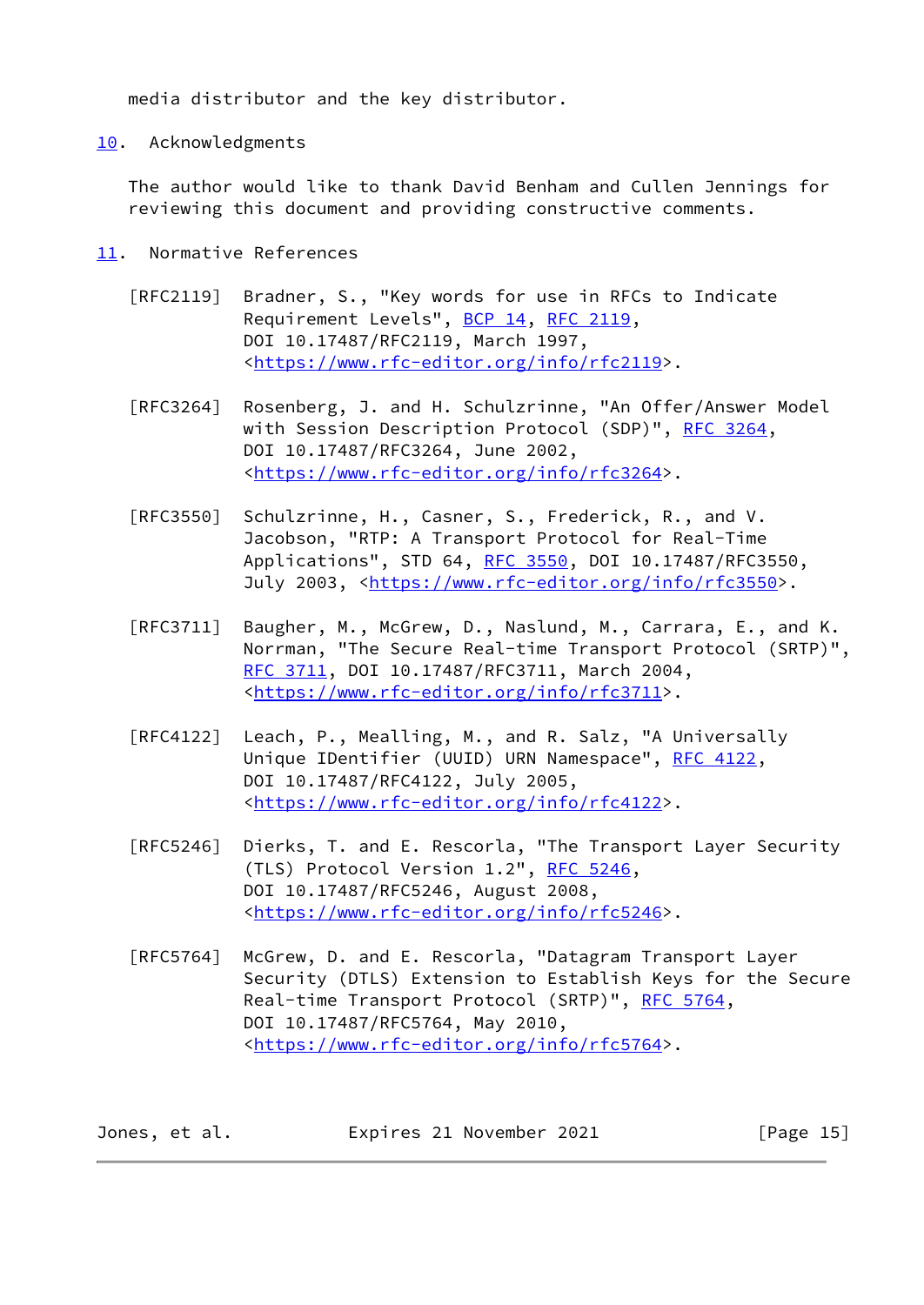media distributor and the key distributor.

<span id="page-16-0"></span>[10.](#page-16-0) Acknowledgments

 The author would like to thank David Benham and Cullen Jennings for reviewing this document and providing constructive comments.

- <span id="page-16-1"></span>[11.](#page-16-1) Normative References
	- [RFC2119] Bradner, S., "Key words for use in RFCs to Indicate Requirement Levels", [BCP 14](https://datatracker.ietf.org/doc/pdf/bcp14), [RFC 2119](https://datatracker.ietf.org/doc/pdf/rfc2119), DOI 10.17487/RFC2119, March 1997, <[https://www.rfc-editor.org/info/rfc2119>](https://www.rfc-editor.org/info/rfc2119).
	- [RFC3264] Rosenberg, J. and H. Schulzrinne, "An Offer/Answer Model with Session Description Protocol (SDP)", [RFC 3264](https://datatracker.ietf.org/doc/pdf/rfc3264), DOI 10.17487/RFC3264, June 2002, <[https://www.rfc-editor.org/info/rfc3264>](https://www.rfc-editor.org/info/rfc3264).
	- [RFC3550] Schulzrinne, H., Casner, S., Frederick, R., and V. Jacobson, "RTP: A Transport Protocol for Real-Time Applications", STD 64, [RFC 3550](https://datatracker.ietf.org/doc/pdf/rfc3550), DOI 10.17487/RFC3550, July 2003, <<https://www.rfc-editor.org/info/rfc3550>>.
	- [RFC3711] Baugher, M., McGrew, D., Naslund, M., Carrara, E., and K. Norrman, "The Secure Real-time Transport Protocol (SRTP)", [RFC 3711,](https://datatracker.ietf.org/doc/pdf/rfc3711) DOI 10.17487/RFC3711, March 2004, <[https://www.rfc-editor.org/info/rfc3711>](https://www.rfc-editor.org/info/rfc3711).
	- [RFC4122] Leach, P., Mealling, M., and R. Salz, "A Universally Unique IDentifier (UUID) URN Namespace", [RFC 4122,](https://datatracker.ietf.org/doc/pdf/rfc4122) DOI 10.17487/RFC4122, July 2005, <[https://www.rfc-editor.org/info/rfc4122>](https://www.rfc-editor.org/info/rfc4122).
	- [RFC5246] Dierks, T. and E. Rescorla, "The Transport Layer Security (TLS) Protocol Version 1.2", [RFC 5246](https://datatracker.ietf.org/doc/pdf/rfc5246), DOI 10.17487/RFC5246, August 2008, <[https://www.rfc-editor.org/info/rfc5246>](https://www.rfc-editor.org/info/rfc5246).
	- [RFC5764] McGrew, D. and E. Rescorla, "Datagram Transport Layer Security (DTLS) Extension to Establish Keys for the Secure Real-time Transport Protocol (SRTP)", [RFC 5764](https://datatracker.ietf.org/doc/pdf/rfc5764), DOI 10.17487/RFC5764, May 2010, <[https://www.rfc-editor.org/info/rfc5764>](https://www.rfc-editor.org/info/rfc5764).

| Expires 21 November 2021<br>Jones, et al. | [Page 15] |
|-------------------------------------------|-----------|
|-------------------------------------------|-----------|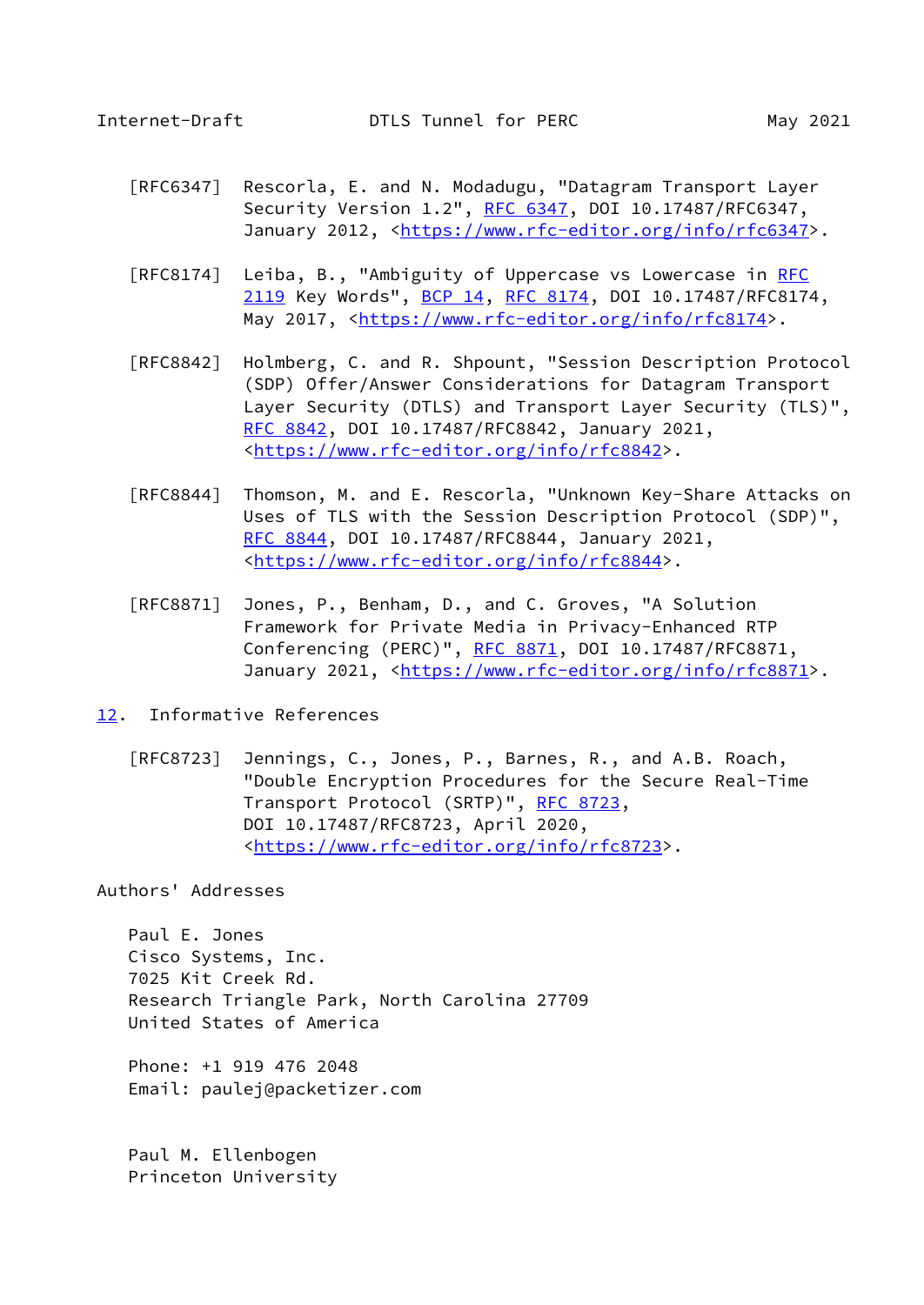- <span id="page-17-1"></span> [RFC6347] Rescorla, E. and N. Modadugu, "Datagram Transport Layer Security Version 1.2", [RFC 6347](https://datatracker.ietf.org/doc/pdf/rfc6347), DOI 10.17487/RFC6347, January 2012, [<https://www.rfc-editor.org/info/rfc6347](https://www.rfc-editor.org/info/rfc6347)>.
- [RFC8174] Leiba, B., "Ambiguity of Uppercase vs Lowercase in [RFC](https://datatracker.ietf.org/doc/pdf/rfc2119) [2119](https://datatracker.ietf.org/doc/pdf/rfc2119) Key Words", [BCP 14](https://datatracker.ietf.org/doc/pdf/bcp14), [RFC 8174,](https://datatracker.ietf.org/doc/pdf/rfc8174) DOI 10.17487/RFC8174, May 2017, [<https://www.rfc-editor.org/info/rfc8174](https://www.rfc-editor.org/info/rfc8174)>.
- [RFC8842] Holmberg, C. and R. Shpount, "Session Description Protocol (SDP) Offer/Answer Considerations for Datagram Transport Layer Security (DTLS) and Transport Layer Security (TLS)", [RFC 8842,](https://datatracker.ietf.org/doc/pdf/rfc8842) DOI 10.17487/RFC8842, January 2021, <[https://www.rfc-editor.org/info/rfc8842>](https://www.rfc-editor.org/info/rfc8842).
- [RFC8844] Thomson, M. and E. Rescorla, "Unknown Key-Share Attacks on Uses of TLS with the Session Description Protocol (SDP)", [RFC 8844,](https://datatracker.ietf.org/doc/pdf/rfc8844) DOI 10.17487/RFC8844, January 2021, <[https://www.rfc-editor.org/info/rfc8844>](https://www.rfc-editor.org/info/rfc8844).
- [RFC8871] Jones, P., Benham, D., and C. Groves, "A Solution Framework for Private Media in Privacy-Enhanced RTP Conferencing (PERC)", [RFC 8871](https://datatracker.ietf.org/doc/pdf/rfc8871), DOI 10.17487/RFC8871, January 2021, [<https://www.rfc-editor.org/info/rfc8871](https://www.rfc-editor.org/info/rfc8871)>.
- <span id="page-17-0"></span>[12.](#page-17-0) Informative References
	- [RFC8723] Jennings, C., Jones, P., Barnes, R., and A.B. Roach, "Double Encryption Procedures for the Secure Real-Time Transport Protocol (SRTP)", [RFC 8723,](https://datatracker.ietf.org/doc/pdf/rfc8723) DOI 10.17487/RFC8723, April 2020, <[https://www.rfc-editor.org/info/rfc8723>](https://www.rfc-editor.org/info/rfc8723).

Authors' Addresses

 Paul E. Jones Cisco Systems, Inc. 7025 Kit Creek Rd. Research Triangle Park, North Carolina 27709 United States of America

 Phone: +1 919 476 2048 Email: paulej@packetizer.com

 Paul M. Ellenbogen Princeton University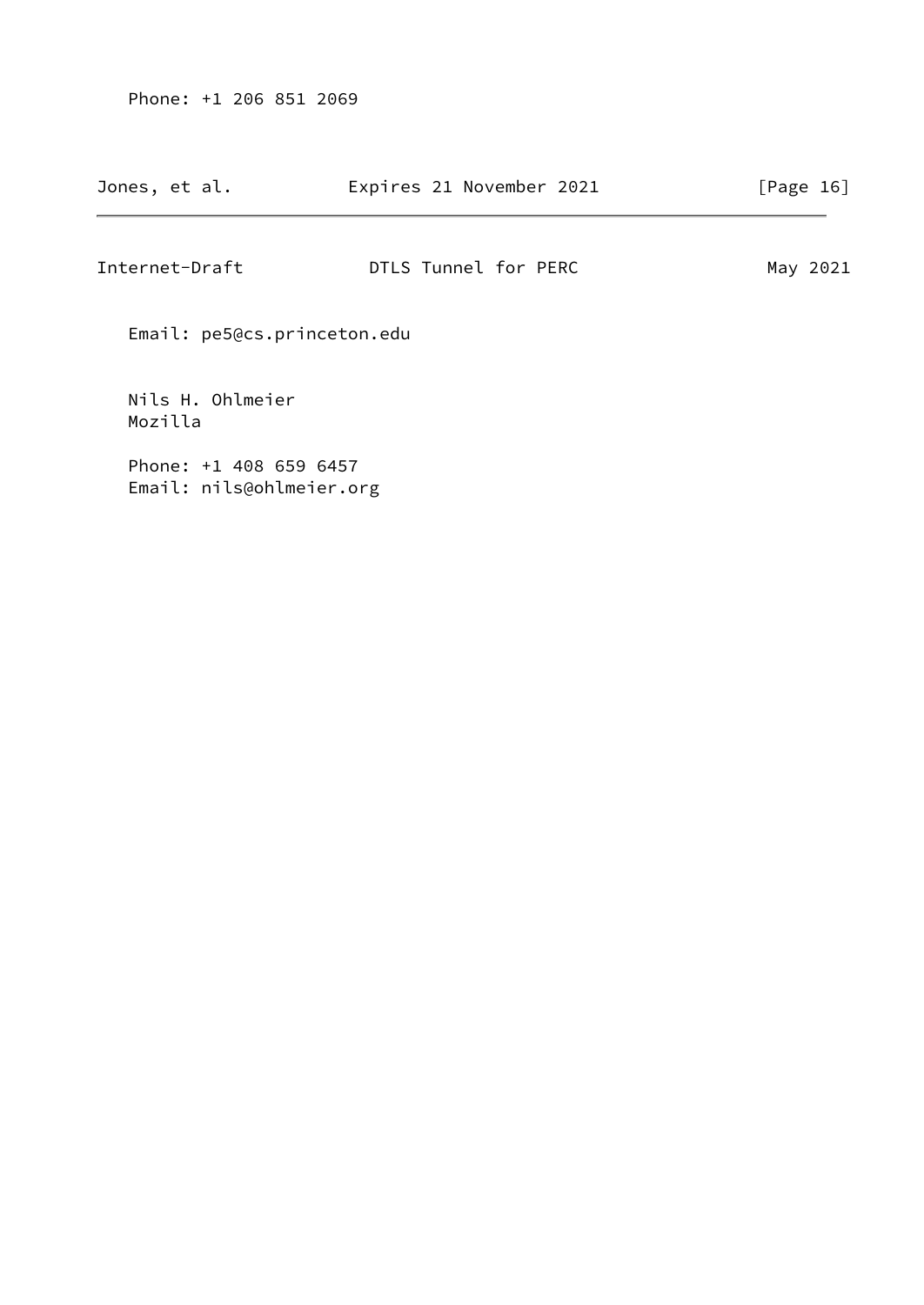Phone: +1 206 851 2069

| Internet-Draft              | DTLS Tunnel for PERC | May 2021 |
|-----------------------------|----------------------|----------|
| Email: pe5@cs.princeton.edu |                      |          |
| Nils H. Ohlmeier<br>Mozilla |                      |          |
| Phone: $+1$ 408 659 6457    |                      |          |

Email: nils@ohlmeier.org

# Jones, et al. **Expires 21 November 2021** [Page 16]